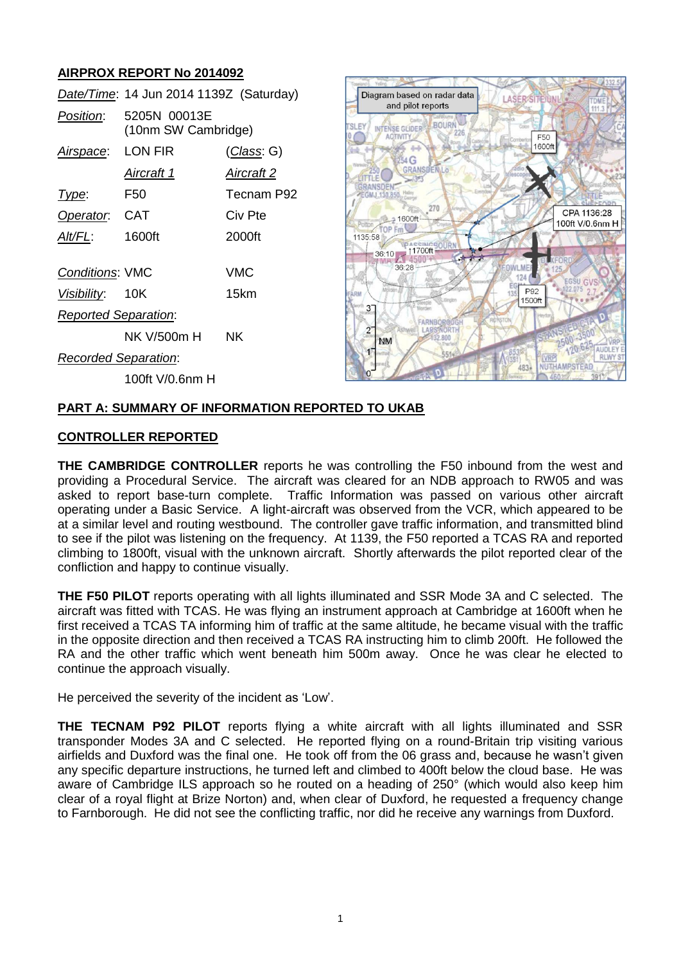# **AIRPROX REPORT No 2014092**

| 5205N 00013E<br>(10nm SW Cambridge) |                    |
|-------------------------------------|--------------------|
| LON FIR                             | <u>(Class</u> : G) |
| Aircraft 1                          | Aircraft 2         |
| F50                                 | Tecnam P92         |
| Operator. CAT                       | Civ Pte            |
| 1600ft                              | 2000ft             |
| <b>Conditions: VMC</b>              | VMC                |
| Visibility: 10K                     | 15km               |
| <b>Reported Separation:</b>         |                    |
| NK V/500m H                         | <b>NK</b>          |
| <b>Recorded Separation:</b>         |                    |
| 100ft V/0.6nm H                     |                    |
|                                     |                    |



## **PART A: SUMMARY OF INFORMATION REPORTED TO UKAB**

### **CONTROLLER REPORTED**

**THE CAMBRIDGE CONTROLLER** reports he was controlling the F50 inbound from the west and providing a Procedural Service. The aircraft was cleared for an NDB approach to RW05 and was asked to report base-turn complete. Traffic Information was passed on various other aircraft operating under a Basic Service. A light-aircraft was observed from the VCR, which appeared to be at a similar level and routing westbound. The controller gave traffic information, and transmitted blind to see if the pilot was listening on the frequency. At 1139, the F50 reported a TCAS RA and reported climbing to 1800ft, visual with the unknown aircraft. Shortly afterwards the pilot reported clear of the confliction and happy to continue visually.

**THE F50 PILOT** reports operating with all lights illuminated and SSR Mode 3A and C selected. The aircraft was fitted with TCAS. He was flying an instrument approach at Cambridge at 1600ft when he first received a TCAS TA informing him of traffic at the same altitude, he became visual with the traffic in the opposite direction and then received a TCAS RA instructing him to climb 200ft. He followed the RA and the other traffic which went beneath him 500m away. Once he was clear he elected to continue the approach visually.

He perceived the severity of the incident as 'Low'.

**THE TECNAM P92 PILOT** reports flying a white aircraft with all lights illuminated and SSR transponder Modes 3A and C selected. He reported flying on a round-Britain trip visiting various airfields and Duxford was the final one. He took off from the 06 grass and, because he wasn't given any specific departure instructions, he turned left and climbed to 400ft below the cloud base. He was aware of Cambridge ILS approach so he routed on a heading of 250° (which would also keep him clear of a royal flight at Brize Norton) and, when clear of Duxford, he requested a frequency change to Farnborough. He did not see the conflicting traffic, nor did he receive any warnings from Duxford.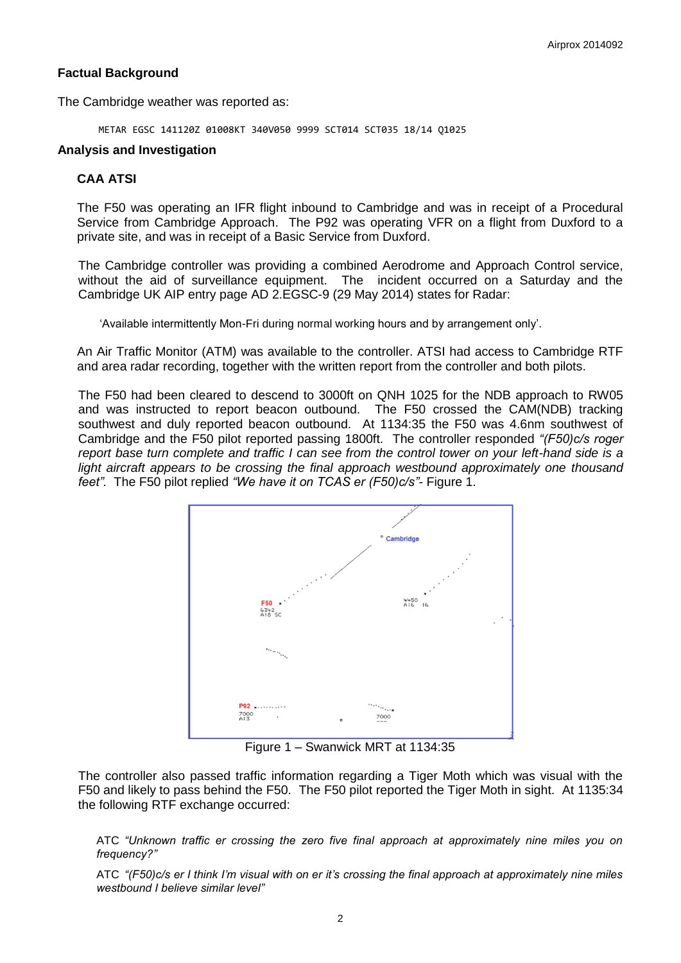## **Factual Background**

The Cambridge weather was reported as:

METAR EGSC 141120Z 01008KT 340V050 9999 SCT014 SCT035 18/14 Q1025

#### **Analysis and Investigation**

#### **CAA ATSI**

The F50 was operating an IFR flight inbound to Cambridge and was in receipt of a Procedural Service from Cambridge Approach. The P92 was operating VFR on a flight from Duxford to a private site, and was in receipt of a Basic Service from Duxford.

The Cambridge controller was providing a combined Aerodrome and Approach Control service, without the aid of surveillance equipment. The incident occurred on a Saturday and the Cambridge UK AIP entry page AD 2.EGSC-9 (29 May 2014) states for Radar:

'Available intermittently Mon-Fri during normal working hours and by arrangement only'.

An Air Traffic Monitor (ATM) was available to the controller. ATSI had access to Cambridge RTF and area radar recording, together with the written report from the controller and both pilots.

The F50 had been cleared to descend to 3000ft on QNH 1025 for the NDB approach to RW05 and was instructed to report beacon outbound. The F50 crossed the CAM(NDB) tracking southwest and duly reported beacon outbound. At 1134:35 the F50 was 4.6nm southwest of Cambridge and the F50 pilot reported passing 1800ft. The controller responded *"(F50)c/s roger report base turn complete and traffic I can see from the control tower on your left-hand side is a*  light aircraft appears to be crossing the final approach westbound approximately one thousand *feet".* The F50 pilot replied *"We have it on TCAS er (F50)c/s"-* Figure 1.



Figure 1 – Swanwick MRT at 1134:35

The controller also passed traffic information regarding a Tiger Moth which was visual with the F50 and likely to pass behind the F50. The F50 pilot reported the Tiger Moth in sight. At 1135:34 the following RTF exchange occurred:

ATC *"Unknown traffic er crossing the zero five final approach at approximately nine miles you on frequency?"*

ATC *"(F50)c/s er I think I'm visual with on er it's crossing the final approach at approximately nine miles westbound I believe similar level"*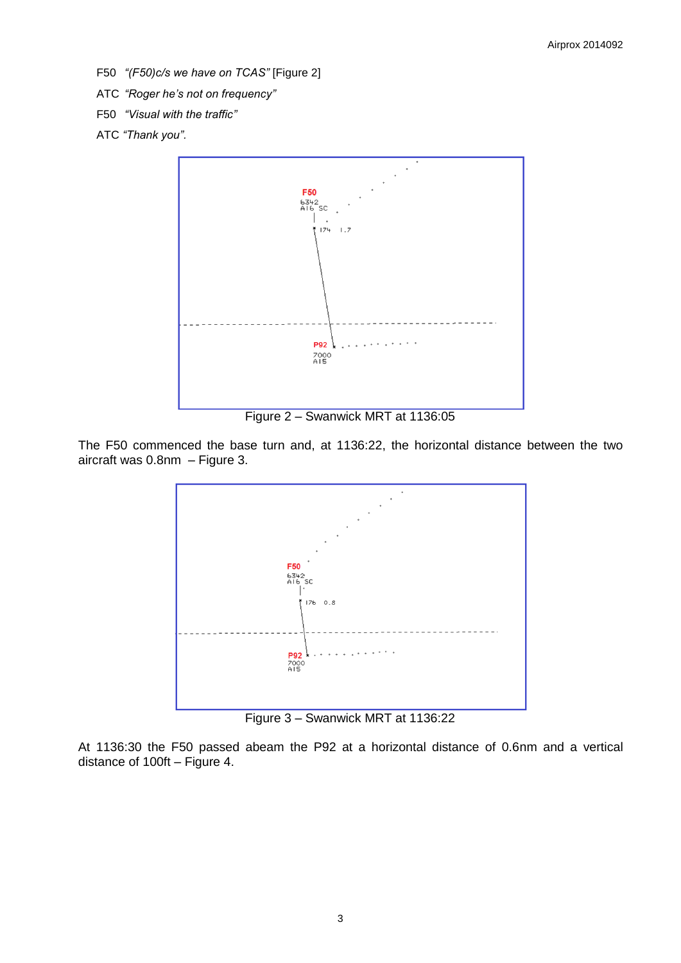- F50 *"(F50)c/s we have on TCAS"* [Figure 2]
- ATC *"Roger he's not on frequency"*
- F50 *"Visual with the traffic"*
- ATC *"Thank you".*



Figure 2 – Swanwick MRT at 1136:05

The F50 commenced the base turn and, at 1136:22, the horizontal distance between the two aircraft was 0.8nm – Figure 3.



Figure 3 – Swanwick MRT at 1136:22

At 1136:30 the F50 passed abeam the P92 at a horizontal distance of 0.6nm and a vertical distance of 100ft – Figure 4.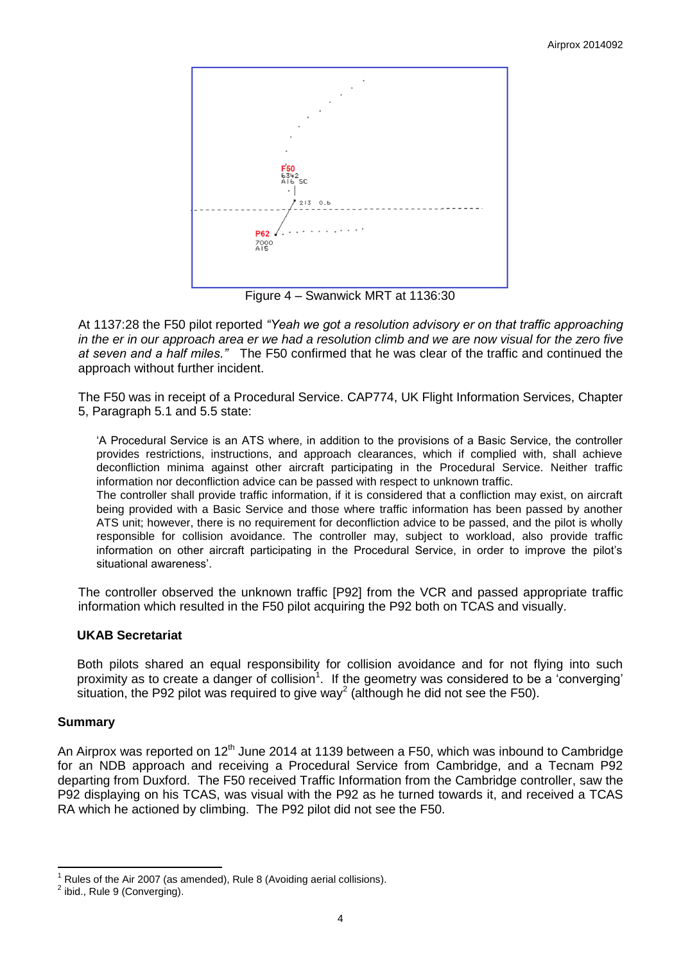

Figure 4 – Swanwick MRT at 1136:30

At 1137:28 the F50 pilot reported *"Yeah we got a resolution advisory er on that traffic approaching in the er in our approach area er we had a resolution climb and we are now visual for the zero five at seven and a half miles."* The F50 confirmed that he was clear of the traffic and continued the approach without further incident.

The F50 was in receipt of a Procedural Service. CAP774, UK Flight Information Services, Chapter 5, Paragraph 5.1 and 5.5 state:

'A Procedural Service is an ATS where, in addition to the provisions of a Basic Service, the controller provides restrictions, instructions, and approach clearances, which if complied with, shall achieve deconfliction minima against other aircraft participating in the Procedural Service. Neither traffic information nor deconfliction advice can be passed with respect to unknown traffic.

The controller shall provide traffic information, if it is considered that a confliction may exist, on aircraft being provided with a Basic Service and those where traffic information has been passed by another ATS unit; however, there is no requirement for deconfliction advice to be passed, and the pilot is wholly responsible for collision avoidance. The controller may, subject to workload, also provide traffic information on other aircraft participating in the Procedural Service, in order to improve the pilot's situational awareness'.

The controller observed the unknown traffic [P92] from the VCR and passed appropriate traffic information which resulted in the F50 pilot acquiring the P92 both on TCAS and visually.

## **UKAB Secretariat**

Both pilots shared an equal responsibility for collision avoidance and for not flying into such proximity as to create a danger of collision<sup>1</sup>. If the geometry was considered to be a 'converging' situation, the P92 pilot was required to give way<sup>2</sup> (although he did not see the F50).

#### **Summary**

An Airprox was reported on  $12<sup>th</sup>$  June 2014 at 1139 between a F50, which was inbound to Cambridge for an NDB approach and receiving a Procedural Service from Cambridge, and a Tecnam P92 departing from Duxford. The F50 received Traffic Information from the Cambridge controller, saw the P92 displaying on his TCAS, was visual with the P92 as he turned towards it, and received a TCAS RA which he actioned by climbing. The P92 pilot did not see the F50.

 $\overline{\phantom{a}}$ Rules of the Air 2007 (as amended), Rule 8 (Avoiding aerial collisions).

 $2$  ibid., Rule 9 (Converging).